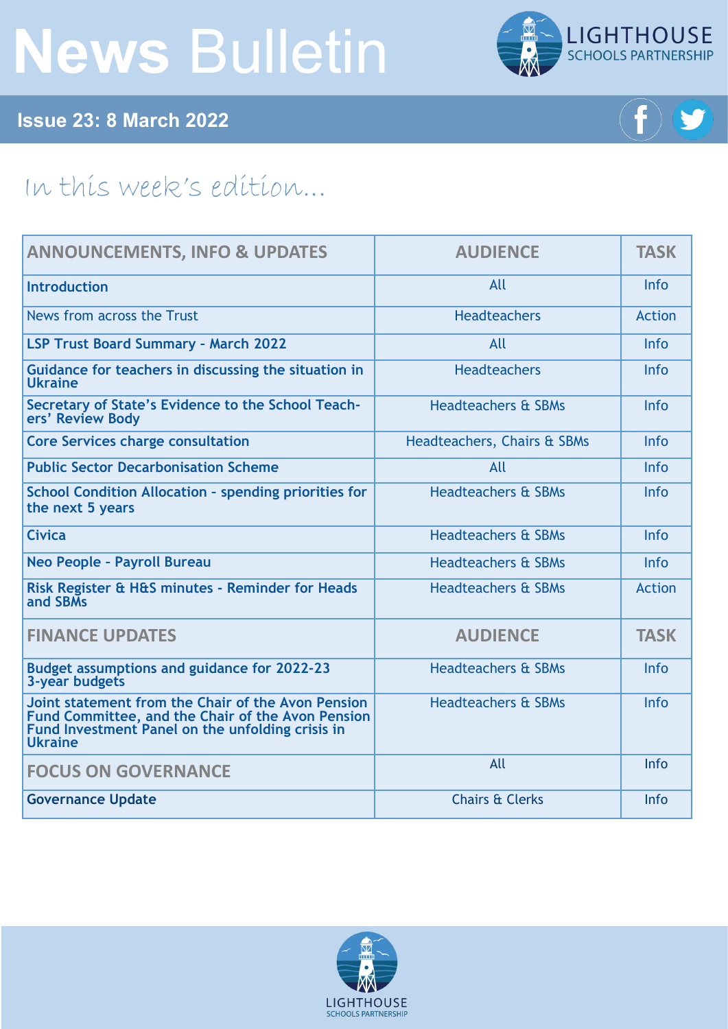# **News** Bulletin



**Issue 23: 8 March 2022**



## In this week's edition...

| <b>ANNOUNCEMENTS, INFO &amp; UPDATES</b>                                                                                                                                      | <b>AUDIENCE</b>                | <b>TASK</b>   |
|-------------------------------------------------------------------------------------------------------------------------------------------------------------------------------|--------------------------------|---------------|
| <b>Introduction</b>                                                                                                                                                           | All                            | Info          |
| News from across the Trust                                                                                                                                                    | <b>Headteachers</b>            | <b>Action</b> |
| <b>LSP Trust Board Summary - March 2022</b>                                                                                                                                   | All                            | Info          |
| Guidance for teachers in discussing the situation in<br><b>Ukraine</b>                                                                                                        | <b>Headteachers</b>            | Info          |
| Secretary of State's Evidence to the School Teach-<br>ers' Review Body                                                                                                        | <b>Headteachers &amp; SBMs</b> | Info          |
| <b>Core Services charge consultation</b>                                                                                                                                      | Headteachers, Chairs & SBMs    | Info          |
| <b>Public Sector Decarbonisation Scheme</b>                                                                                                                                   | All                            | Info          |
| <b>School Condition Allocation - spending priorities for</b><br>the next 5 years                                                                                              | <b>Headteachers &amp; SBMs</b> | Info          |
| <b>Civica</b>                                                                                                                                                                 | <b>Headteachers &amp; SBMs</b> | Info          |
| Neo People - Payroll Bureau                                                                                                                                                   | <b>Headteachers &amp; SBMs</b> | Info          |
| Risk Register & H&S minutes - Reminder for Heads<br>and SBMs                                                                                                                  | <b>Headteachers &amp; SBMs</b> | <b>Action</b> |
| <b>FINANCE UPDATES</b>                                                                                                                                                        | <b>AUDIENCE</b>                | <b>TASK</b>   |
| <b>Budget assumptions and guidance for 2022-23</b><br>3-year budgets                                                                                                          | <b>Headteachers &amp; SBMs</b> | Info          |
| Joint statement from the Chair of the Avon Pension<br>Fund Committee, and the Chair of the Avon Pension<br>Fund Investment Panel on the unfolding crisis in<br><b>Ukraine</b> | <b>Headteachers &amp; SBMs</b> | Info          |
| <b>FOCUS ON GOVERNANCE</b>                                                                                                                                                    | All                            | Info          |
| <b>Governance Update</b>                                                                                                                                                      | <b>Chairs &amp; Clerks</b>     | Info          |

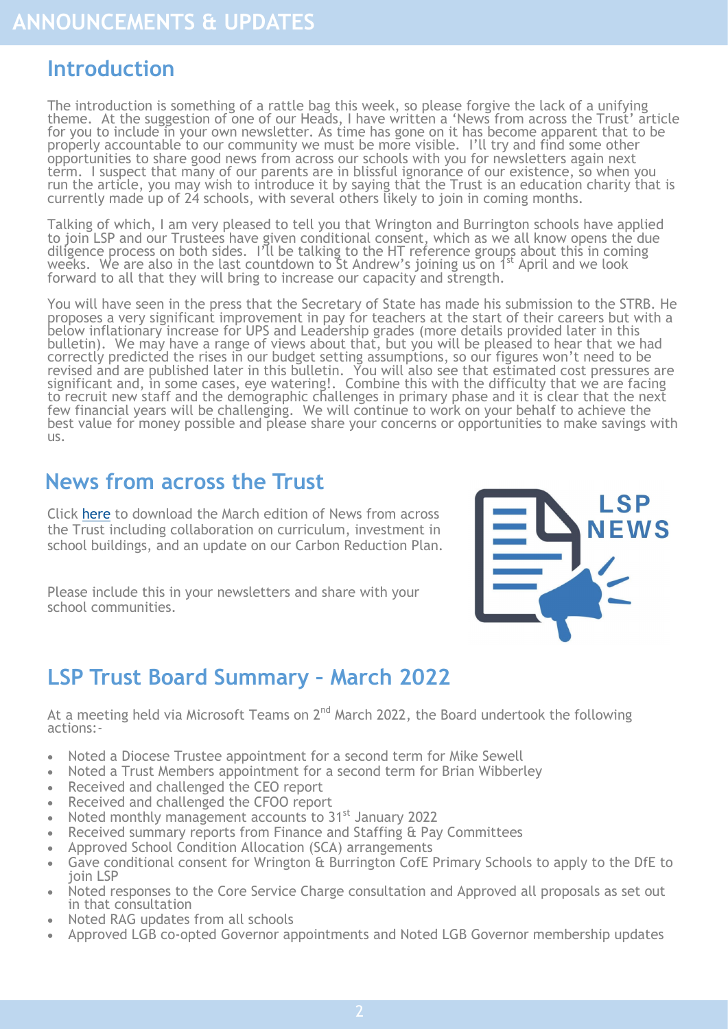#### <span id="page-1-0"></span>**Introduction**

The introduction is something of a rattle bag this week, so please forgive the lack of a unifying theme. At the suggestion of one of our Heads, I have written a 'News from across the Trust' article for you to include in your own newsletter. As time has gone on it has become apparent that to be properly accountable to our community we must be more visible. I'll try and find some other opportunities to share good news from across our schools with you for newsletters again next term. I suspect that many of our parents are in blissful ignorance of our existence, so when you run the article, you may wish to introduce it by saying that the Trust is an education charity that is currently made up of 24 schools, with several others likely to join in coming months.

Talking of which, I am very pleased to tell you that Wrington and Burrington schools have applied to join LSP and our Trustees have given conditional consent, which as we all know opens the due diligence process on both sides. I'll be talking to the HT reference groups about this in coming weeks. We are also in the last countdown to St Andrew's joining us on 1<sup>st</sup> April and we look forward to all that they will bring to increase our capacity and strength.

You will have seen in the press that the Secretary of State has made his submission to the STRB. He proposes a very significant improvement in pay for teachers at the start of their careers but with a below inflationary increase for UPS and Leadership grades (more details provided later in this bulletin). We may have a range of views about that, but you will be pleased to hear that we had correctly predicted the rises in our budget setting assumptions, so our figures won't need to be revised and are published later in this bulletin. You will also see that estimated cost pressures are significant and, in some cases, eye watering!. Combine this with the difficulty that we are facing to recruit new staff and the demographic challenges in primary phase and it is clear that the next few financial years will be challenging. We will continue to work on your behalf to achieve the best value for money possible and please share your concerns or opportunities to make savings with us.

#### **News from across the Trust**

Click [here](https://foldr.lsp.org.uk/public/PY0ZN) to download the March edition of News from across the Trust including collaboration on curriculum, investment in school buildings, and an update on our Carbon Reduction Plan.

Please include this in your newsletters and share with your school communities.



#### **LSP Trust Board Summary – March 2022**

At a meeting held via Microsoft Teams on  $2^{nd}$  March 2022, the Board undertook the following actions:-

- Noted a Diocese Trustee appointment for a second term for Mike Sewell
- Noted a Trust Members appointment for a second term for Brian Wibberley
- Received and challenged the CEO report
- Received and challenged the CFOO report
- Noted monthly management accounts to 31<sup>st</sup> January 2022
- Received summary reports from Finance and Staffing & Pay Committees
- Approved School Condition Allocation (SCA) arrangements
- Gave conditional consent for Wrington & Burrington CofE Primary Schools to apply to the DfE to join LSP
- Noted responses to the Core Service Charge consultation and Approved all proposals as set out in that consultation
- Noted RAG updates from all schools
- Approved LGB co-opted Governor appointments and Noted LGB Governor membership updates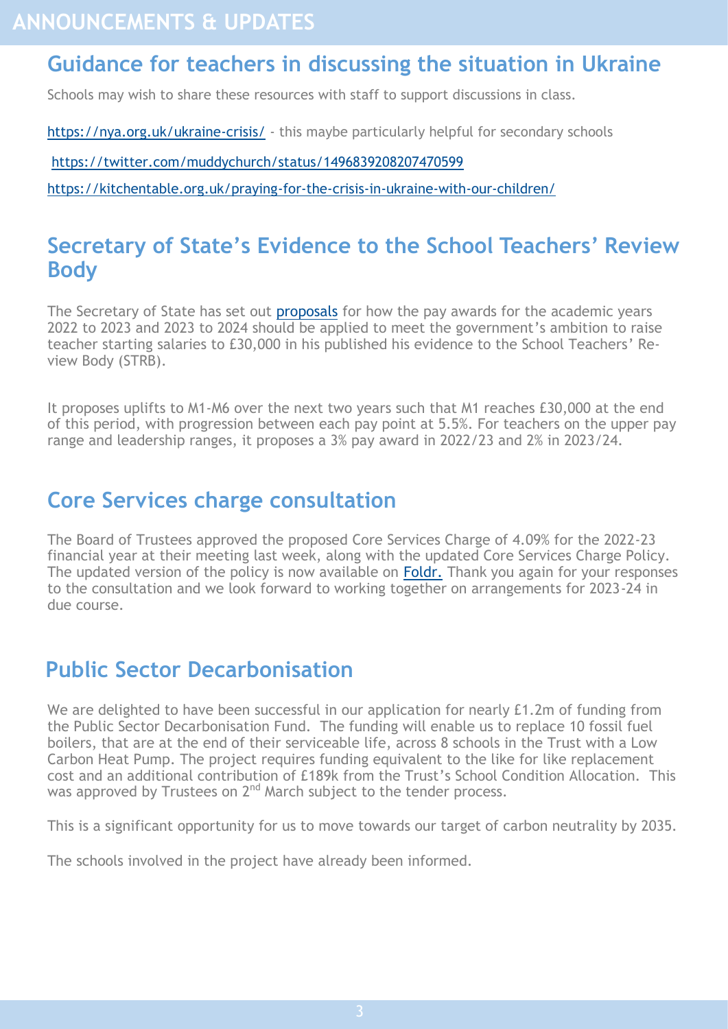#### <span id="page-2-0"></span>**Guidance for teachers in discussing the situation in Ukraine**

Schools may wish to share these resources with staff to support discussions in class.

[https://nya.org.uk/ukraine](https://nya.org.uk/ukraine-crisis/)-crisis/ - this maybe particularly helpful for secondary schools

<https://twitter.com/muddychurch/status/1496839208207470599>

[https://kitchentable.org.uk/praying](https://kitchentable.org.uk/praying-for-the-crisis-in-ukraine-with-our-children/)-for-the-crisis-in-ukraine-with-our-children/

#### **Secretary of State's Evidence to the School Teachers' Review Body**

The Secretary of State has set out **[proposals](https://assets.publishing.service.gov.uk/government/uploads/system/uploads/attachment_data/file/1058855/STRB_Written_Evidence_2022.pdf)** for how the pay awards for the academic years 2022 to 2023 and 2023 to 2024 should be applied to meet the government's ambition to raise teacher starting salaries to £30,000 in his published his evidence to the School Teachers' Review Body (STRB).

It proposes uplifts to M1-M6 over the next two years such that M1 reaches £30,000 at the end of this period, with progression between each pay point at 5.5%. For teachers on the upper pay range and leadership ranges, it proposes a 3% pay award in 2022/23 and 2% in 2023/24.

### **Core Services charge consultation**

The Board of Trustees approved the proposed Core Services Charge of 4.09% for the 2022-23 financial year at their meeting last week, along with the updated Core Services Charge Policy. The updated version of the policy is now available on **[Foldr.](https://foldr.lsp.org.uk/public/W5LRN)** Thank you again for your responses to the consultation and we look forward to working together on arrangements for 2023-24 in due course.

### **Public Sector Decarbonisation**

We are delighted to have been successful in our application for nearly £1.2m of funding from the Public Sector Decarbonisation Fund. The funding will enable us to replace 10 fossil fuel boilers, that are at the end of their serviceable life, across 8 schools in the Trust with a Low Carbon Heat Pump. The project requires funding equivalent to the like for like replacement cost and an additional contribution of £189k from the Trust's School Condition Allocation. This was approved by Trustees on  $2<sup>nd</sup>$  March subject to the tender process.

This is a significant opportunity for us to move towards our target of carbon neutrality by 2035.

The schools involved in the project have already been informed.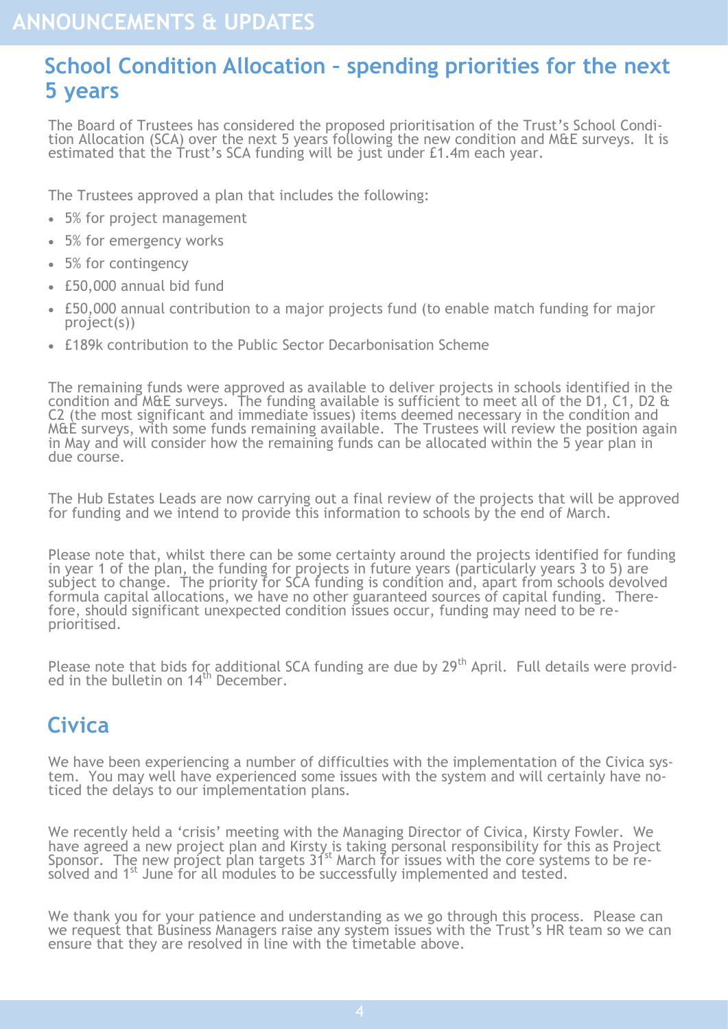#### <span id="page-3-0"></span>**School Condition Allocation – spending priorities for the next 5 years**

The Board of Trustees has considered the proposed prioritisation of the Trust's School Condition Allocation (SCA) over the next 5 years following the new condition and M&E surveys. It is estimated that the Trust's SCA funding will be just under £1.4m each year.

The Trustees approved a plan that includes the following:

- 5% for project management
- 5% for emergency works
- 5% for contingency
- £50,000 annual bid fund
- £50,000 annual contribution to a major projects fund (to enable match funding for major project(s))
- £189k contribution to the Public Sector Decarbonisation Scheme

The remaining funds were approved as available to deliver projects in schools identified in the condition and M&E surveys. The funding available is sufficient to meet all of the D1, C1, D2  $\alpha$ C2 (the most significant and immediate issues) items deemed necessary in the condition and M&E surveys, with some funds remaining available. The Trustees will review the position again in May and will consider how the remaining funds can be allocated within the 5 year plan in due course.

The Hub Estates Leads are now carrying out a final review of the projects that will be approved for funding and we intend to provide this information to schools by the end of March.

Please note that, whilst there can be some certainty around the projects identified for funding in year 1 of the plan, the funding for projects in future years (particularly years 3 to 5) are subject to change. The priority for SCA funding is condition and, apart from schools devolved formula capital allocations, we have no other guaranteed sources of capital funding. Therefore, should significant unexpected condition issues occur, funding may need to be reprioritised.

Please note that bids for additional SCA funding are due by 29<sup>th</sup> April. Full details were provided in the bulletin on 14<sup>th</sup> December.

#### **Civica**

We have been experiencing a number of difficulties with the implementation of the Civica system. You may well have experienced some issues with the system and will certainly have noticed the delays to our implementation plans.

We recently held a 'crisis' meeting with the Managing Director of Civica, Kirsty Fowler. We have agreed a new project plan and Kirsty is taking personal responsibility for this as Project Sponsor. The new project plan targets 31st March for issues with the core systems to be resolved and 1<sup>st</sup> June for all modules to be successfully implemented and tested.

We thank you for your patience and understanding as we go through this process. Please can we request that Business Managers raise any system issues with the Trust's HR team so we can ensure that they are resolved in line with the timetable above.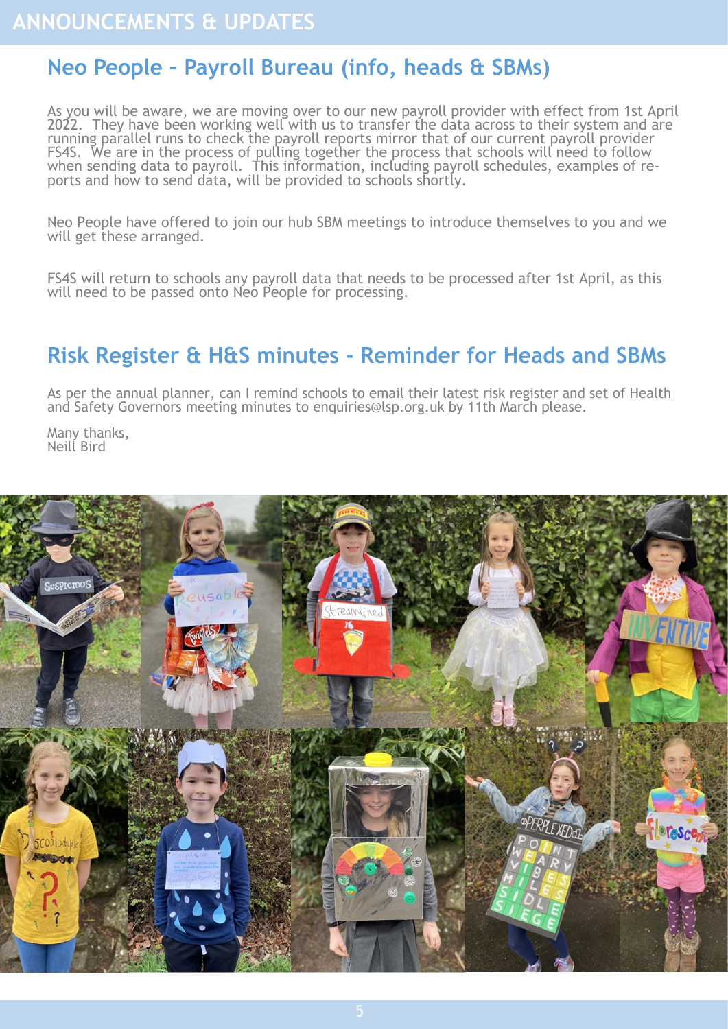## <span id="page-4-0"></span>**Neo People – Payroll Bureau (info, heads & SBMs)**

As you will be aware, we are moving over to our new payroll provider with effect from 1st April 2022. They have been working well with us to transfer the data across to their system and are running parallel runs to check the payroll reports mirror that of our current payroll provider FS4S. We are in the process of pulling together the process that schools will need to follow when sending data to payroll. This information, including payroll schedules, examples of reports and how to send data, will be provided to schools shortly.

Neo People have offered to join our hub SBM meetings to introduce themselves to you and we will get these arranged.

FS4S will return to schools any payroll data that needs to be processed after 1st April, as this will need to be passed onto Neo People for processing.

#### **Risk Register & H&S minutes - Reminder for Heads and SBMs**

As per the annual planner, can I remind schools to email their latest risk register and set of Health and Safety Governors meeting minutes to enquiries@lsp.org.uk by 11th March please.

Many thanks, Neill Bird

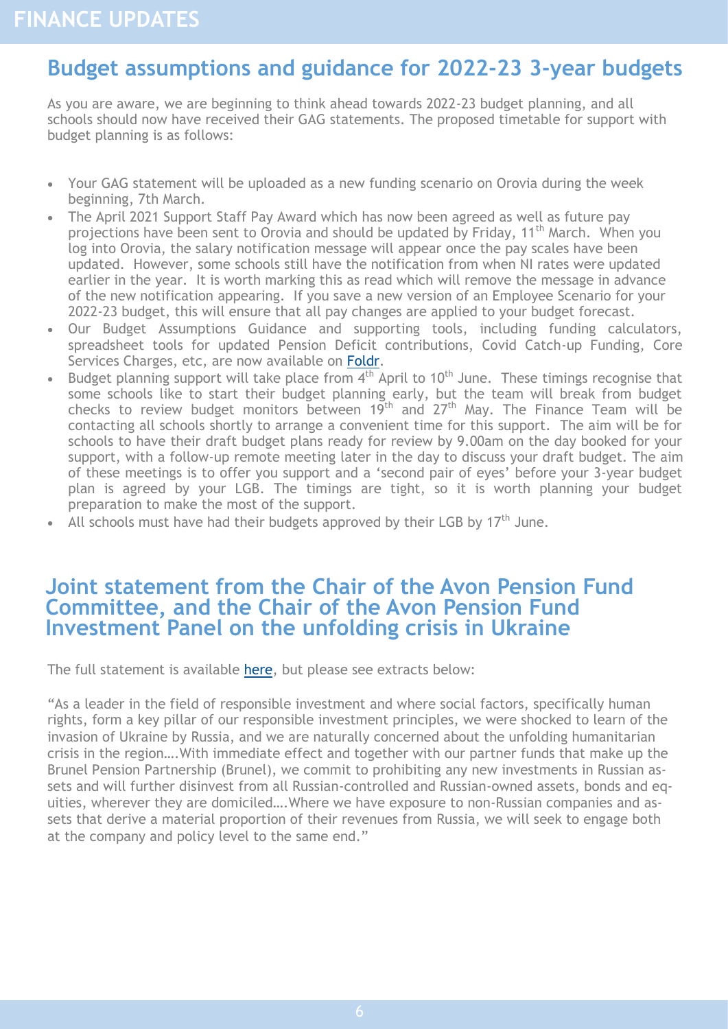#### <span id="page-5-0"></span>**Budget assumptions and guidance for 2022-23 3-year budgets**

As you are aware, we are beginning to think ahead towards 2022-23 budget planning, and all schools should now have received their GAG statements. The proposed timetable for support with budget planning is as follows:

- Your GAG statement will be uploaded as a new funding scenario on Orovia during the week beginning, 7th March.
- The April 2021 Support Staff Pay Award which has now been agreed as well as future pay projections have been sent to Orovia and should be updated by Friday, 11<sup>th</sup> March. When you log into Orovia, the salary notification message will appear once the pay scales have been updated. However, some schools still have the notification from when NI rates were updated earlier in the year. It is worth marking this as read which will remove the message in advance of the new notification appearing. If you save a new version of an Employee Scenario for your 2022-23 budget, this will ensure that all pay changes are applied to your budget forecast.
- Our Budget Assumptions Guidance and supporting tools, including funding calculators, spreadsheet tools for updated Pension Deficit contributions, Covid Catch-up Funding, Core Services Charges, etc, are now available on [Foldr.](https://foldr.lsp.org.uk/public/NRQBP)
- Budget planning support will take place from  $4<sup>th</sup>$  April to 10<sup>th</sup> June. These timings recognise that some schools like to start their budget planning early, but the team will break from budget checks to review budget monitors between  $19<sup>th</sup>$  and  $27<sup>th</sup>$  May. The Finance Team will be contacting all schools shortly to arrange a convenient time for this support. The aim will be for schools to have their draft budget plans ready for review by 9.00am on the day booked for your support, with a follow-up remote meeting later in the day to discuss your draft budget. The aim of these meetings is to offer you support and a 'second pair of eyes' before your 3-year budget plan is agreed by your LGB. The timings are tight, so it is worth planning your budget preparation to make the most of the support.
- All schools must have had their budgets approved by their LGB by  $17<sup>th</sup>$  June.

#### **Joint statement from the Chair of the Avon Pension Fund Committee, and the Chair of the Avon Pension Fund Investment Panel on the unfolding crisis in Ukraine**

The full statement is available [here,](https://www.avonpensionfund.org.uk/statement-unfolding-crisis-ukraine) but please see extracts below:

"As a leader in the field of responsible investment and where social factors, specifically human rights, form a key pillar of our responsible investment principles, we were shocked to learn of the invasion of Ukraine by Russia, and we are naturally concerned about the unfolding humanitarian crisis in the region….With immediate effect and together with our partner funds that make up the Brunel Pension Partnership (Brunel), we commit to prohibiting any new investments in Russian assets and will further disinvest from all Russian-controlled and Russian-owned assets, bonds and equities, wherever they are domiciled….Where we have exposure to non-Russian companies and assets that derive a material proportion of their revenues from Russia, we will seek to engage both at the company and policy level to the same end."